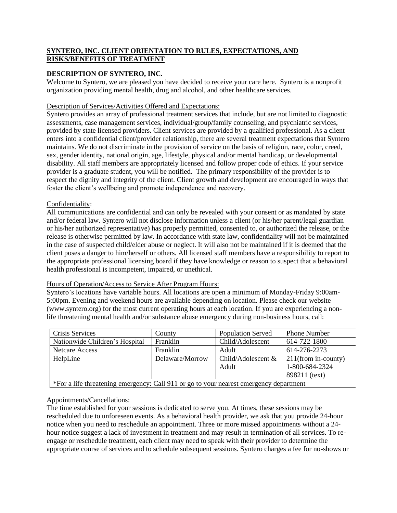# **SYNTERO, INC. CLIENT ORIENTATION TO RULES, EXPECTATIONS, AND RISKS/BENEFITS OF TREATMENT**

# **DESCRIPTION OF SYNTERO, INC.**

Welcome to Syntero, we are pleased you have decided to receive your care here. Syntero is a nonprofit organization providing mental health, drug and alcohol, and other healthcare services.

### Description of Services/Activities Offered and Expectations:

Syntero provides an array of professional treatment services that include, but are not limited to diagnostic assessments, case management services, individual/group/family counseling, and psychiatric services, provided by state licensed providers. Client services are provided by a qualified professional. As a client enters into a confidential client/provider relationship, there are several treatment expectations that Syntero maintains. We do not discriminate in the provision of service on the basis of religion, race, color, creed, sex, gender identity, national origin, age, lifestyle, physical and/or mental handicap, or developmental disability. All staff members are appropriately licensed and follow proper code of ethics. If your service provider is a graduate student, you will be notified. The primary responsibility of the provider is to respect the dignity and integrity of the client. Client growth and development are encouraged in ways that foster the client's wellbeing and promote independence and recovery.

# Confidentiality:

All communications are confidential and can only be revealed with your consent or as mandated by state and/or federal law. Syntero will not disclose information unless a client (or his/her parent/legal guardian or his/her authorized representative) has properly permitted, consented to, or authorized the release, or the release is otherwise permitted by law. In accordance with state law, confidentiality will not be maintained in the case of suspected child/elder abuse or neglect. It will also not be maintained if it is deemed that the client poses a danger to him/herself or others. All licensed staff members have a responsibility to report to the appropriate professional licensing board if they have knowledge or reason to suspect that a behavioral health professional is incompetent, impaired, or unethical.

### Hours of Operation/Access to Service After Program Hours:

Syntero's locations have variable hours. All locations are open a minimum of Monday-Friday 9:00am-5:00pm. Evening and weekend hours are available depending on location. Please check our website (www.syntero.org) for the most current operating hours at each location. If you are experiencing a nonlife threatening mental health and/or substance abuse emergency during non-business hours, call:

| Crisis Services                                                                        | County          | <b>Population Served</b> | <b>Phone Number</b>    |  |  |
|----------------------------------------------------------------------------------------|-----------------|--------------------------|------------------------|--|--|
| Nationwide Children's Hospital                                                         | Franklin        | Child/Adolescent         | 614-722-1800           |  |  |
| <b>Netcare Access</b>                                                                  | Franklin        | Adult                    | 614-276-2273           |  |  |
| HelpLine                                                                               | Delaware/Morrow | Child/Adolescent &       | $211$ (from in-county) |  |  |
|                                                                                        |                 | Adult                    | 1-800-684-2324         |  |  |
|                                                                                        |                 |                          | 898211 (text)          |  |  |
| *For a life threatening emergency: Call 911 or go to your nearest emergency department |                 |                          |                        |  |  |

### Appointments/Cancellations:

The time established for your sessions is dedicated to serve you. At times, these sessions may be rescheduled due to unforeseen events. As a behavioral health provider, we ask that you provide 24-hour notice when you need to reschedule an appointment. Three or more missed appointments without a 24 hour notice suggest a lack of investment in treatment and may result in termination of all services. To reengage or reschedule treatment, each client may need to speak with their provider to determine the appropriate course of services and to schedule subsequent sessions. Syntero charges a fee for no-shows or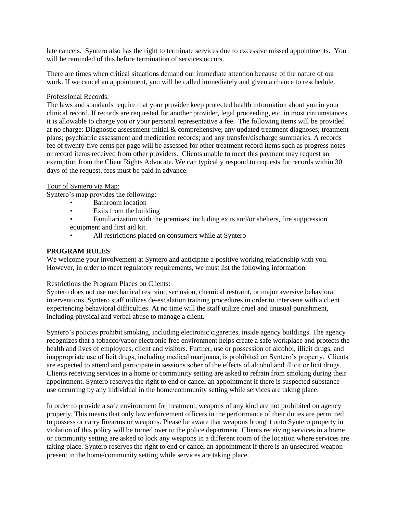late cancels. Syntero also has the right to terminate services due to excessive missed appointments. You will be reminded of this before termination of services occurs.

There are times when critical situations demand our immediate attention because of the nature of our work. If we cancel an appointment, you will be called immediately and given a chance to reschedule.

#### Professional Records:

The laws and standards require that your provider keep protected health information about you in your clinical record. If records are requested for another provider, legal proceeding, etc. in most circumstances it is allowable to charge you or your personal representative a fee. The following items will be provided at no charge: Diagnostic assessment-initial & comprehensive; any updated treatment diagnoses; treatment plans; psychiatric assessment and medication records; and any transfer/discharge summaries. A records fee of twenty-five cents per page will be assessed for other treatment record items such as progress notes or record items received from other providers. Clients unable to meet this payment may request an exemption from the Client Rights Advocate. We can typically respond to requests for records within 30 days of the request, fees must be paid in advance.

#### Tour of Syntero via Map:

Syntero's map provides the following:

- Bathroom location
- Exits from the building
- Familiarization with the premises, including exits and/or shelters, fire suppression equipment and first aid kit.
- All restrictions placed on consumers while at Syntero

# **PROGRAM RULES**

We welcome your involvement at Syntero and anticipate a positive working relationship with you. However, in order to meet regulatory requirements, we must list the following information.

### Restrictions the Program Places on Clients:

Syntero does not use mechanical restraint, seclusion, chemical restraint, or major aversive behavioral interventions. Syntero staff utilizes de-escalation training procedures in order to intervene with a client experiencing behavioral difficulties. At no time will the staff utilize cruel and unusual punishment, including physical and verbal abuse to manage a client.

Syntero's policies prohibit smoking, including electronic cigarettes, inside agency buildings. The agency recognizes that a tobacco/vapor electronic free environment helps create a safe workplace and protects the health and lives of employees, client and visitors. Further, use or possession of alcohol, illicit drugs, and inappropriate use of licit drugs, including medical marijuana, is prohibited on Syntero's property. Clients are expected to attend and participate in sessions sober of the effects of alcohol and illicit or licit drugs. Clients receiving services in a home or community setting are asked to refrain from smoking during their appointment. Syntero reserves the right to end or cancel an appointment if there is suspected substance use occurring by any individual in the home/community setting while services are taking place.

In order to provide a safe environment for treatment, weapons of any kind are not prohibited on agency property. This means that only law enforcement officers in the performance of their duties are permitted to possess or carry firearms or weapons. Please be aware that weapons brought onto Syntero property in violation of this policy will be turned over to the police department. Clients receiving services in a home or community setting are asked to lock any weapons in a different room of the location where services are taking place. Syntero reserves the right to end or cancel an appointment if there is an unsecured weapon present in the home/community setting while services are taking place.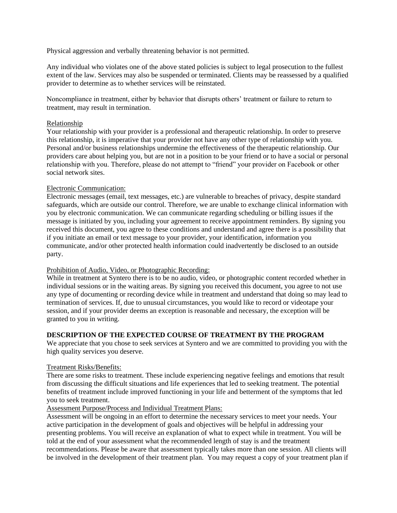Physical aggression and verbally threatening behavior is not permitted.

Any individual who violates one of the above stated policies is subject to legal prosecution to the fullest extent of the law. Services may also be suspended or terminated. Clients may be reassessed by a qualified provider to determine as to whether services will be reinstated.

Noncompliance in treatment, either by behavior that disrupts others' treatment or failure to return to treatment, may result in termination.

#### Relationship

Your relationship with your provider is a professional and therapeutic relationship. In order to preserve this relationship, it is imperative that your provider not have any other type of relationship with you. Personal and/or business relationships undermine the effectiveness of the therapeutic relationship. Our providers care about helping you, but are not in a position to be your friend or to have a social or personal relationship with you. Therefore, please do not attempt to "friend" your provider on Facebook or other social network sites.

### Electronic Communication:

Electronic messages (email, text messages, etc.) are vulnerable to breaches of privacy, despite standard safeguards, which are outside our control. Therefore, we are unable to exchange clinical information with you by electronic communication. We can communicate regarding scheduling or billing issues if the message is initiated by you, including your agreement to receive appointment reminders. By signing you received this document, you agree to these conditions and understand and agree there is a possibility that if you initiate an email or text message to your provider, your identification, information you communicate, and/or other protected health information could inadvertently be disclosed to an outside party.

### Prohibition of Audio, Video, or Photographic Recording:

While in treatment at Syntero there is to be no audio, video, or photographic content recorded whether in individual sessions or in the waiting areas. By signing you received this document, you agree to not use any type of documenting or recording device while in treatment and understand that doing so may lead to termination of services. If, due to unusual circumstances, you would like to record or videotape your session, and if your provider deems an exception is reasonable and necessary, the exception will be granted to you in writing.

### **DESCRIPTION OF THE EXPECTED COURSE OF TREATMENT BY THE PROGRAM**

We appreciate that you chose to seek services at Syntero and we are committed to providing you with the high quality services you deserve.

#### Treatment Risks/Benefits:

There are some risks to treatment. These include experiencing negative feelings and emotions that result from discussing the difficult situations and life experiences that led to seeking treatment. The potential benefits of treatment include improved functioning in your life and betterment of the symptoms that led you to seek treatment.

#### Assessment Purpose/Process and Individual Treatment Plans:

Assessment will be ongoing in an effort to determine the necessary services to meet your needs. Your active participation in the development of goals and objectives will be helpful in addressing your presenting problems. You will receive an explanation of what to expect while in treatment. You will be told at the end of your assessment what the recommended length of stay is and the treatment recommendations. Please be aware that assessment typically takes more than one session. All clients will be involved in the development of their treatment plan. You may request a copy of your treatment plan if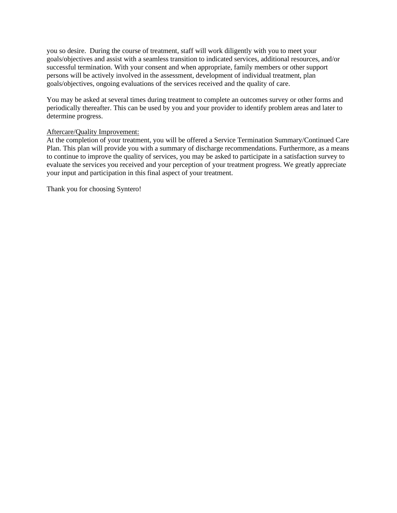you so desire. During the course of treatment, staff will work diligently with you to meet your goals/objectives and assist with a seamless transition to indicated services, additional resources, and/or successful termination. With your consent and when appropriate, family members or other support persons will be actively involved in the assessment, development of individual treatment, plan goals/objectives, ongoing evaluations of the services received and the quality of care.

You may be asked at several times during treatment to complete an outcomes survey or other forms and periodically thereafter. This can be used by you and your provider to identify problem areas and later to determine progress.

# Aftercare/Quality Improvement:

At the completion of your treatment, you will be offered a Service Termination Summary/Continued Care Plan. This plan will provide you with a summary of discharge recommendations. Furthermore, as a means to continue to improve the quality of services, you may be asked to participate in a satisfaction survey to evaluate the services you received and your perception of your treatment progress. We greatly appreciate your input and participation in this final aspect of your treatment.

Thank you for choosing Syntero!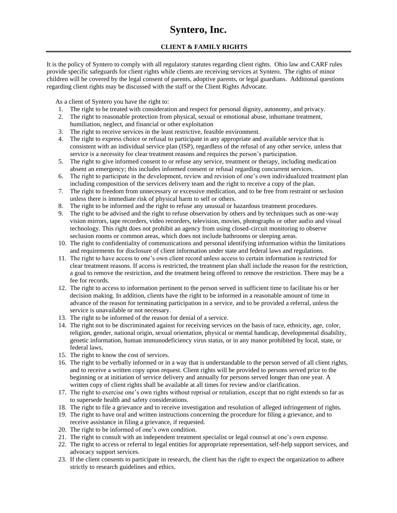# **Syntero, Inc.**

# **CLIENT & FAMILY RIGHTS**

It is the policy of Syntero to comply with all regulatory statutes regarding client rights. Ohio law and CARF rules provide specific safeguards for client rights while clients are receiving services at Syntero. The rights of minor children will be covered by the legal consent of parents, adoptive parents, or legal guardians. Additional questions regarding client rights may be discussed with the staff or the Client Rights Advocate.

As a client of Syntero you have the right to:

- 1. The right to be treated with consideration and respect for personal dignity, autonomy, and privacy.
- 2. The right to reasonable protection from physical, sexual or emotional abuse, inhumane treatment, humiliation, neglect, and financial or other exploitation
- 3. The right to receive services in the least restrictive, feasible environment.
- 4. The right to express choice or refusal to participate in any appropriate and available service that is consistent with an individual service plan (ISP), regardless of the refusal of any other service, unless that service is a necessity for clear treatment reasons and requires the person's participation.
- 5. The right to give informed consent to or refuse any service, treatment or therapy, including medication absent an emergency; this includes informed consent or refusal regarding concurrent services.
- 6. The right to participate in the development, review and revision of one's own individualized treatment plan including composition of the services delivery team and the right to receive a copy of the plan.
- 7. The right to freedom from unnecessary or excessive medication, and to be free from restraint or seclusion unless there is immediate risk of physical harm to self or others.
- 8. The right to be informed and the right to refuse any unusual or hazardous treatment procedures.
- 9. The right to be advised and the right to refuse observation by others and by techniques such as one-way vision mirrors, tape recorders, video recorders, television, movies, photographs or other audio and visual technology. This right does not prohibit an agency from using closed-circuit monitoring to observe seclusion rooms or common areas, which does not include bathrooms or sleeping areas.
- 10. The right to confidentiality of communications and personal identifying information within the limitations and requirements for disclosure of client information under state and federal laws and regulations.
- 11. The right to have access to one's own client record unless access to certain information is restricted for clear treatment reasons. If access is restricted, the treatment plan shall include the reason for the restriction, a goal to remove the restriction, and the treatment being offered to remove the restriction. There may be a fee for records.
- 12. The right to access to information pertinent to the person served in sufficient time to facilitate his or her decision making. In addition, clients have the right to be informed in a reasonable amount of time in advance of the reason for terminating participation in a service, and to be provided a referral, unless the service is unavailable or not necessary.
- 13. The right to be informed of the reason for denial of a service.
- 14. The right not to be discriminated against for receiving services on the basis of race, ethnicity, age, color, religion, gender, national origin, sexual orientation, physical or mental handicap, developmental disability, genetic information, human immunodeficiency virus status, or in any manor prohibited by local, state, or federal laws.
- 15. The right to know the cost of services.
- 16. The right to be verbally informed or in a way that is understandable to the person served of all client rights, and to receive a written copy upon request. Client rights will be provided to persons served prior to the beginning or at initiation of service delivery and annually for persons served longer than one year. A written copy of client rights shall be available at all times for review and/or clarification.
- 17. The right to exercise one's own rights without reprisal or retaliation, except that no right extends so far as to supersede health and safety considerations.
- 18. The right to file a grievance and to receive investigation and resolution of alleged infringement of rights.
- 19. The right to have oral and written instructions concerning the procedure for filing a grievance, and to receive assistance in filing a grievance, if requested.
- 20. The right to be informed of one's own condition.
- 21. The right to consult with an independent treatment specialist or legal counsel at one's own expense.
- 22. The right to access or referral to legal entities for appropriate representation, self-help support services, and advocacy support services.
- 23. If the client consents to participate in research, the client has the right to expect the organization to adhere strictly to research guidelines and ethics.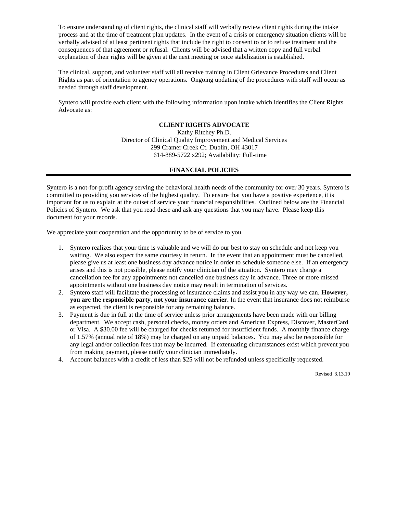To ensure understanding of client rights, the clinical staff will verbally review client rights during the intake process and at the time of treatment plan updates. In the event of a crisis or emergency situation clients will be verbally advised of at least pertinent rights that include the right to consent to or to refuse treatment and the consequences of that agreement or refusal. Clients will be advised that a written copy and full verbal explanation of their rights will be given at the next meeting or once stabilization is established.

The clinical, support, and volunteer staff will all receive training in Client Grievance Procedures and Client Rights as part of orientation to agency operations. Ongoing updating of the procedures with staff will occur as needed through staff development.

Syntero will provide each client with the following information upon intake which identifies the Client Rights Advocate as:

#### **CLIENT RIGHTS ADVOCATE**

Kathy Ritchey Ph.D. Director of Clinical Quality Improvement and Medical Services 299 Cramer Creek Ct. Dublin, OH 43017 614-889-5722 x292; Availability: Full-time

#### **FINANCIAL POLICIES**

Syntero is a not-for-profit agency serving the behavioral health needs of the community for over 30 years. Syntero is committed to providing you services of the highest quality. To ensure that you have a positive experience, it is important for us to explain at the outset of service your financial responsibilities. Outlined below are the Financial Policies of Syntero. We ask that you read these and ask any questions that you may have. Please keep this document for your records.

We appreciate your cooperation and the opportunity to be of service to you.

- 1. Syntero realizes that your time is valuable and we will do our best to stay on schedule and not keep you waiting. We also expect the same courtesy in return. In the event that an appointment must be cancelled, please give us at least one business day advance notice in order to schedule someone else. If an emergency arises and this is not possible, please notify your clinician of the situation. Syntero may charge a cancellation fee for any appointments not cancelled one business day in advance. Three or more missed appointments without one business day notice may result in termination of services.
- 2. Syntero staff will facilitate the processing of insurance claims and assist you in any way we can. **However, you are the responsible party, not your insurance carrier.** In the event that insurance does not reimburse as expected, the client is responsible for any remaining balance.
- 3. Payment is due in full at the time of service unless prior arrangements have been made with our billing department. We accept cash, personal checks, money orders and American Express, Discover, MasterCard or Visa. A \$30.00 fee will be charged for checks returned for insufficient funds. A monthly finance charge of 1.57% (annual rate of 18%) may be charged on any unpaid balances. You may also be responsible for any legal and/or collection fees that may be incurred. If extenuating circumstances exist which prevent you from making payment, please notify your clinician immediately.
- 4. Account balances with a credit of less than \$25 will not be refunded unless specifically requested.

Revised 3.13.19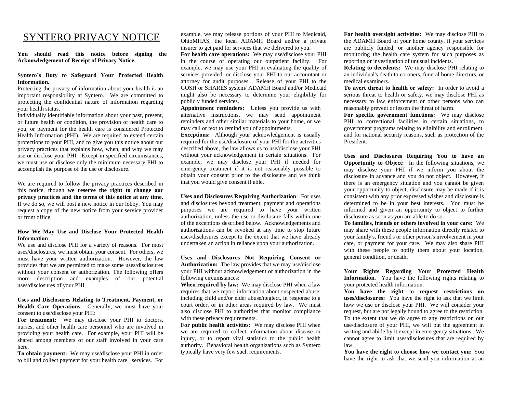# SYNTERO PRIVACY NOTICE

**You should read this notice before signing the Acknowledgement of Receipt of Privacy Notice.**

#### **Syntero's Duty to Safeguard Your Protected Health Information.**

Protecting the privacy of information about your health is an important responsibility at Syntero. We are committed to protecting the confidential nature of information regarding your health status.

Individually identifiable information about your past, present, or future health or condition, the provision of health care to you, or payment for the health care is considered Protected Health Information (PHI). We are required to extend certain protections to your PHI, and to give you this notice about our privacy practices that explains how, when, and why we may use or disclose your PHI. Except in specified circumstances, we must use or disclose only the minimum necessary PHI to accomplish the purpose of the use or disclosure.

We are required to follow the privacy practices described in this notice, though **we reserve the right to change our privacy practices and the terms of this notice at any time**. If we do so, we will post a new notice in our lobby. You may request a copy of the new notice from your service provider or front office.

#### **How We May Use and Disclose Your Protected Health Information**

We use and disclose PHI for a variety of reasons. For most uses/disclosures, we must obtain your consent. For others, we must have your written authorization. However, the law provides that we are permitted to make some uses/disclosures without your consent or authorization. The following offers more description and examples of our potential uses/disclosures of your PHI.

**Uses and Disclosures Relating to Treatment, Payment, or Health Care Operations.** Generally, we must have your consent to use/disclose your PHI:

**For treatment:** We may disclose your PHI to doctors, nurses, and other health care personnel who are involved in providing your health care. For example, your PHI will be shared among members of our staff involved in your care here.

**To obtain payment:** We may use/disclose your PHI in order to bill and collect payment for your health care services. For

example, we may release portions of your PHI to Medicaid, OhioMHAS, the local ADAMH Board and/or a private insurer to get paid for services that we delivered to you.

**For health care operations:** We may use/disclose your PHI in the course of operating our outpatient facility. For example, we may use your PHI in evaluating the quality of services provided, or disclose your PHI to our accountant or attorney for audit purposes. Release of your PHI to the GOSH or SHARES system/ ADAMH Board and/or Medicaid might also be necessary to determine your eligibility for publicly funded services.

**Appointment reminders:** Unless you provide us with alternative instructions, we may send appointment reminders and other similar materials to your home, or we may call or text to remind you of appointments.

**Exceptions:** Although your acknowledgement is usually required for the use/disclosure of your PHI for the activities described above, the law allows us to use/disclose your PHI without your acknowledgement in certain situations. For example, we may disclose your PHI if needed for emergency treatment if it is not reasonably possible to obtain your consent prior to the disclosure and we think that you would give consent if able.

**Uses and Disclosures Requiring Authorization**: For uses and disclosures beyond treatment, payment and operations purposes we are required to have your written authorization, unless the use or disclosure falls within one of the exceptions described below. Acknowledgements and authorizations can be revoked at any time to stop future uses/disclosures except to the extent that we have already undertaken an action in reliance upon your authorization.

**Uses and Disclosures Not Requiring Consent or Authorization:** The law provides that we may use/disclose your PHI without acknowledgement or authorization in the following circumstances:

**When required by law:** We may disclose PHI when a law requires that we report information about suspected abuse, including child and/or elder abuse/neglect, in response to a court order, or in other areas required by law. We must also disclose PHI to authorities that monitor compliance with these privacy requirements.

**For public health activities:** We may disclose PHI when we are required to collect information about disease or injury, or to report vital statistics to the public health authority. Behavioral health organizations such as Syntero typically have very few such requirements.

**For health oversight activities:** We may disclose PHI to the ADAMH Board of your home county, if your services are publicly funded, or another agency responsible for monitoring the health care system for such purposes as reporting or investigation of unusual incidents.

**Relating to decedents:** We may disclose PHI relating to an individual's death to coroners, funeral home directors, or medical examiners.

**To avert threat to health or safety:** In order to avoid a serious threat to health or safety, we may disclose PHI as necessary to law enforcement or other persons who can reasonably prevent or lessen the threat of harm.

**For specific government functions:** We may disclose PHI to correctional facilities in certain situations, to government programs relating to eligibility and enrollment, and for national security reasons, such as protection of the President.

**Uses and Disclosures Requiring You to have an Opportunity to Object:** In the following situations, we may disclose your PHI if we inform you about the disclosure in advance and you do not object. However, if there is an emergency situation and you cannot be given your opportunity to object, disclosure may be made if it is consistent with any prior expressed wishes and disclosure is determined to be in your best interests. You must be informed and given an opportunity to object to further disclosure as soon as you are able to do so.

**To families, friends or others involved in your care:** We may share with these people information directly related to your family's, friend's or other person's involvement in your care, or payment for your care. We may also share PHI with these people to notify them about your location, general condition, or death.

**Your Rights Regarding Your Protected Health Information.** You have the following rights relating to your protected health information:

**You have the right** t**o request restrictions on uses/disclosures:** You have the right to ask that we limit how we use or disclose your PHI. We will consider your request, but are not legally bound to agree to the restriction. To the extent that we do agree to any restrictions on our use/disclosure of your PHI, we will put the agreement in writing and abide by it except in emergency situations. We cannot agree to limit uses/disclosures that are required by law.

**You have the right to choose how we contact you:** You have the right to ask that we send you information at an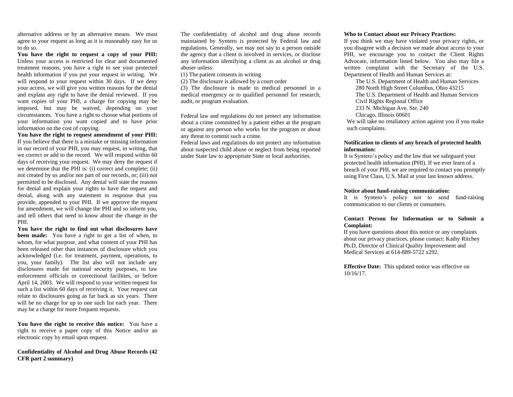alternative address or by an alternative means. We must agree to your request as long as it is reasonably easy for us to do so.

**You have the right to request a copy of your PHI:** Unless your access is restricted for clear and documented treatment reasons, you have a right to see your protected health information if you put your request in writing. We will respond to your request within 30 days. If we deny your access, we will give you written reasons for the denial and explain any right to have the denial reviewed. If you want copies of your PHI, a charge for copying may be imposed, but may be waived, depending on your circumstances. You have a right to choose what portions of your information you want copied and to have prior information on the cost of copying.

**You have the right to request amendment of your PHI:** If you believe that there is a mistake or missing information in our record of your PHI, you may request, in writing, that we correct or add to the record. We will respond within 60 days of receiving your request. We may deny the request if we determine that the PHI is: (i) correct and complete; (ii) not created by us and/or not part of our records, or; (iii) not permitted to be disclosed. Any denial will state the reasons for denial and explain your rights to have the request and denial, along with any statement in response that you provide, appended to your PHI. If we approve the request for amendment, we will change the PHI and so inform you, and tell others that need to know about the change in the PHI.

**You have the right to find out what disclosures have been made:** You have a right to get a list of when, to whom, for what purpose, and what content of your PHI has been released other than instances of disclosure which you acknowledged (i.e. for treatment, payment, operations, to you, your family). The list also will not include any disclosures made for national security purposes, to law enforcement officials or correctional facilities, or before April 14, 2003. We will respond to your written request for such a list within 60 days of receiving it. Your request can relate to disclosures going as far back as six years. There will be no charge for up to one such list each year. There may be a charge for more frequent requests.

**You have the right to receive this notice:** You have a right to receive a paper copy of this Notice and/or an electronic copy by email upon request.

**Confidentiality of Alcohol and Drug Abuse Records (42 CFR part 2 summary)**

The confidentiality of alcohol and drug abuse records maintained by Syntero is protected by Federal law and regulations. Generally, we may not say to a person outside the agency that a client is involved in services, or disclose any information identifying a client as an alcohol or drug abuser unless:

(1) The patient consents in writing

(2) The disclosure is allowed by a court order

(3) The disclosure is made to medical personnel in a medical emergency or to qualified personnel for research, audit, or program evaluation.

Federal law and regulations do not protect any information about a crime committed by a patient either at the program or against any person who works for the program or about any threat to commit such a crime.

Federal laws and regulations do not protect any information about suspected child abuse or neglect from being reported under State law to appropriate State or local authorities.

#### **Who to Contact about our Privacy Practices:**

If you think we may have violated your privacy rights, or you disagree with a decision we made about access to your PHI, we encourage you to contact the Client Rights Advocate, information listed below. You also may file a written complaint with the Secretary of the U.S. Department of Health and Human Services at:

The U.S. Department of Health and Human Services 280 North High Street Columbus, Ohio 43215 The U.S. Department of Health and Human Services Civil Rights Regional Office 233 N. Michigan Ave. Ste. 240 Chicago, Illinois 60601

We will take no retaliatory action against you if you make such complaints.

#### **Notification to clients of any breach of protected health information:**

It is Syntero's policy and the law that we safeguard your protected health information (PHI). If we ever learn of a breach of your PHI, we are required to contact you promptly using First Class, U.S. Mail at your last known address.

#### **Notice about fund-raising communication:**

It is Syntero's policy not to send fund-raising communication to our clients or consumers.

#### **Contact Person for Information or to Submit a Complaint:**

If you have questions about this notice or any complaints about our privacy practices, please contact: Kathy Ritchey Ph.D, Director of Clinical Quality Improvement and Medical Services at 614-889-5722 x292.

**Effective Date:** This updated notice was effective on 10/16/17.